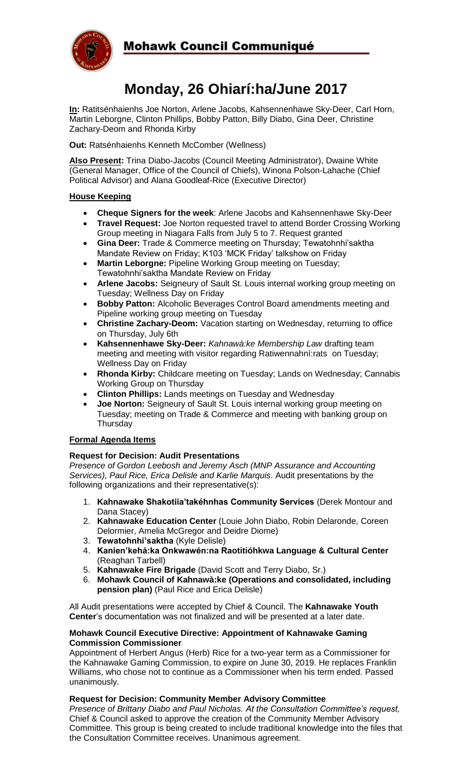

# **Mohawk Council Communiqué**

# **Monday, 26 Ohiarí:ha/June 2017**

**In:** Ratitsénhaienhs Joe Norton, Arlene Jacobs, Kahsennenhawe Sky-Deer, Carl Horn, Martin Leborgne, Clinton Phillips, Bobby Patton, Billy Diabo, Gina Deer, Christine Zachary-Deom and Rhonda Kirby

**Out:** Ratsénhaienhs Kenneth McComber (Wellness)

**Also Present:** Trina Diabo-Jacobs (Council Meeting Administrator), Dwaine White (General Manager, Office of the Council of Chiefs), Winona Polson-Lahache (Chief Political Advisor) and Alana Goodleaf-Rice (Executive Director)

# **House Keeping**

- **Cheque Signers for the week**: Arlene Jacobs and Kahsennenhawe Sky-Deer
- **Travel Request:** Joe Norton requested travel to attend Border Crossing Working Group meeting in Niagara Falls from July 5 to 7. Request granted
- **Gina Deer:** Trade & Commerce meeting on Thursday; Tewatohnhi'saktha Mandate Review on Friday; K103 'MCK Friday' talkshow on Friday
- **Martin Leborgne:** Pipeline Working Group meeting on Tuesday; Tewatohnhi'saktha Mandate Review on Friday
- **Arlene Jacobs:** Seigneury of Sault St. Louis internal working group meeting on Tuesday; Wellness Day on Friday
- **Bobby Patton:** Alcoholic Beverages Control Board amendments meeting and Pipeline working group meeting on Tuesday
- **Christine Zachary-Deom:** Vacation starting on Wednesday, returning to office on Thursday, July 6th
- **Kahsennenhawe Sky-Deer:** *Kahnawà:ke Membership Law* drafting team meeting and meeting with visitor regarding Ratiwennahní:rats on Tuesday; Wellness Day on Friday
- **Rhonda Kirby:** Childcare meeting on Tuesday; Lands on Wednesday; Cannabis Working Group on Thursday
- **Clinton Phillips:** Lands meetings on Tuesday and Wednesday
- **Joe Norton:** Seigneury of Sault St. Louis internal working group meeting on Tuesday; meeting on Trade & Commerce and meeting with banking group on **Thursday**

# **Formal Agenda Items**

# **Request for Decision: Audit Presentations**

*Presence of Gordon Leebosh and Jeremy Asch (MNP Assurance and Accounting Services), Paul Rice, Erica Delisle and Karlie Marquis*. Audit presentations by the following organizations and their representative(s):

- 1. **Kahnawake Shakotiia'takéhnhas Community Services** (Derek Montour and Dana Stacey)
- 2. **Kahnawake Education Center** (Louie John Diabo, Robin Delaronde, Coreen Delormier, Amelia McGregor and Deidre Diome)
- 3. **Tewatohnhi'saktha** (Kyle Delisle)
- 4. **Kanien'kehá:ka Onkwawén:na Raotitióhkwa Language & Cultural Center**  (Reaghan Tarbell)
- 5. **Kahnawake Fire Brigade** (David Scott and Terry Diabo, Sr.)
- 6. **Mohawk Council of Kahnawà:ke (Operations and consolidated, including pension plan)** (Paul Rice and Erica Delisle)

All Audit presentations were accepted by Chief & Council. The **Kahnawake Youth Center**'s documentation was not finalized and will be presented at a later date.

#### **Mohawk Council Executive Directive: Appointment of Kahnawake Gaming Commission Commissioner**

Appointment of Herbert Angus (Herb) Rice for a two-year term as a Commissioner for the Kahnawake Gaming Commission, to expire on June 30, 2019. He replaces Franklin Williams, who chose not to continue as a Commissioner when his term ended. Passed unanimously.

# **Request for Decision: Community Member Advisory Committee**

*Presence of Brittany Diabo and Paul Nicholas. At the Consultation Committee's request,*  Chief & Council asked to approve the creation of the Community Member Advisory Committee. This group is being created to include traditional knowledge into the files that the Consultation Committee receives. Unanimous agreement.